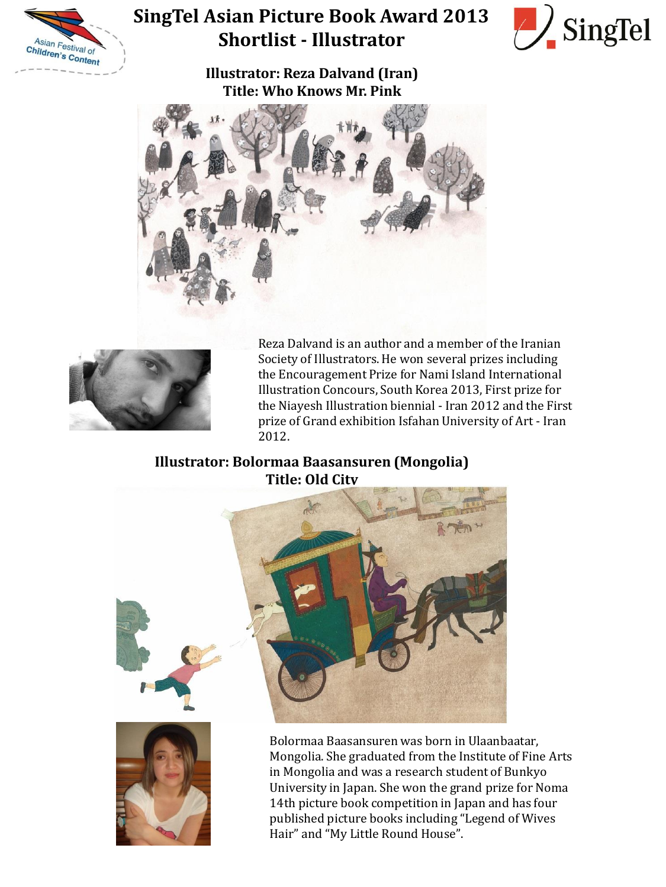

## **SingTel Asian Picture Book Award 2013 Shortlist - Illustrator**



**Illustrator: Reza Dalvand (Iran) Title: Who Knows Mr. Pink**





Reza Dalvand is an author and a member of the Iranian Society of Illustrators. He won several prizes including the Encouragement Prize for Nami Island International Illustration Concours, South Korea 2013, First prize for the Niayesh Illustration biennial - Iran 2012 and the First prize of Grand exhibition Isfahan University of Art - Iran 2012.

## **Illustrator: Bolormaa Baasansuren (Mongolia) Title: Old City**





Bolormaa Baasansuren was born in Ulaanbaatar, Mongolia. She graduated from the Institute of Fine Arts in Mongolia and was a research student of Bunkyo University in Japan. She won the grand prize for Noma 14th picture book competition in Japan and has four published picture books including "Legend of Wives Hair" and "My Little Round House".